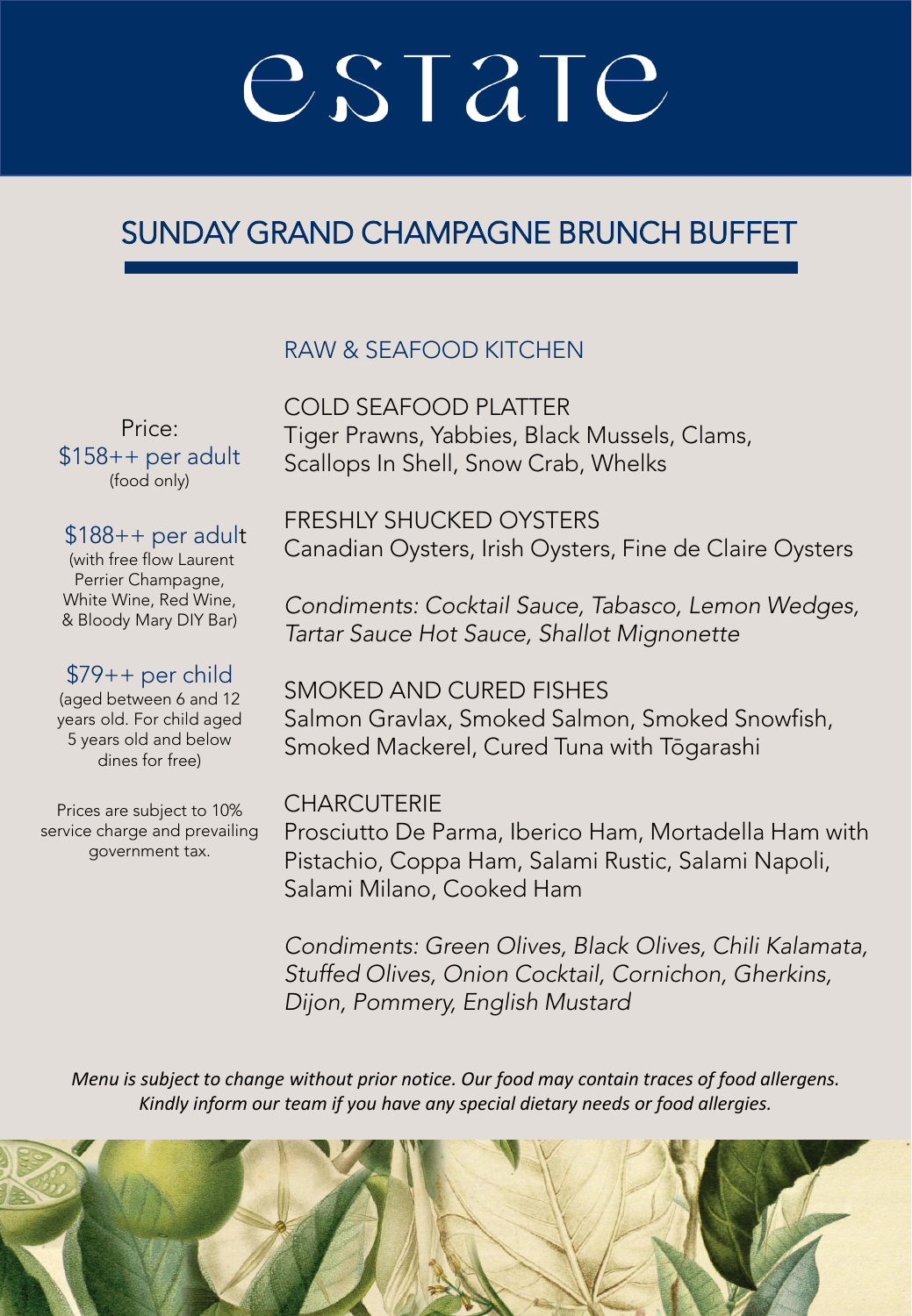### SUNDAY GRAND CHAMPAGNE BRUNCH BUFFET

### RAW & SEAFOOD KITCHEN

Price:  $$158++$  per adult (food only)

#### $$188++$  per adult

(with free flow Laurent Perrier Champagne, White Wine, Red Wine, & Bloody Mary DIY Bar)

#### \$79++ per child

(aged between 6 and 12 years old. For child aged 5 years old and below dines for free)

Prices are subject to 10% service charge and prevailing government tax.

COLD SEAFOOD PLATTER Tiger Prawns, Yabbies, Black Mussels, Clams, Scallops In Shell, Snow Crab, Whelks

FRESHLY SHUCKED OYSTERS Canadian Oysters, Irish Oysters, Fine de Claire Oysters

*Condiments: Cocktail Sauce, Tabasco, Lemon Wedges, Tartar Sauce Hot Sauce, Shallot Mignonette*

SMOKED AND CURED FISHES Salmon Gravlax, Smoked Salmon, Smoked Snowfish, Smoked Mackerel, Cured Tuna with Tōgarashi

#### **CHARCUTERIE**

Prosciutto De Parma, Iberico Ham, Mortadella Ham with Pistachio, Coppa Ham, Salami Rustic, Salami Napoli, Salami Milano, Cooked Ham

*Condiments: Green Olives, Black Olives, Chili Kalamata, Stuffed Olives, Onion Cocktail, Cornichon, Gherkins, Dijon, Pommery, English Mustard*

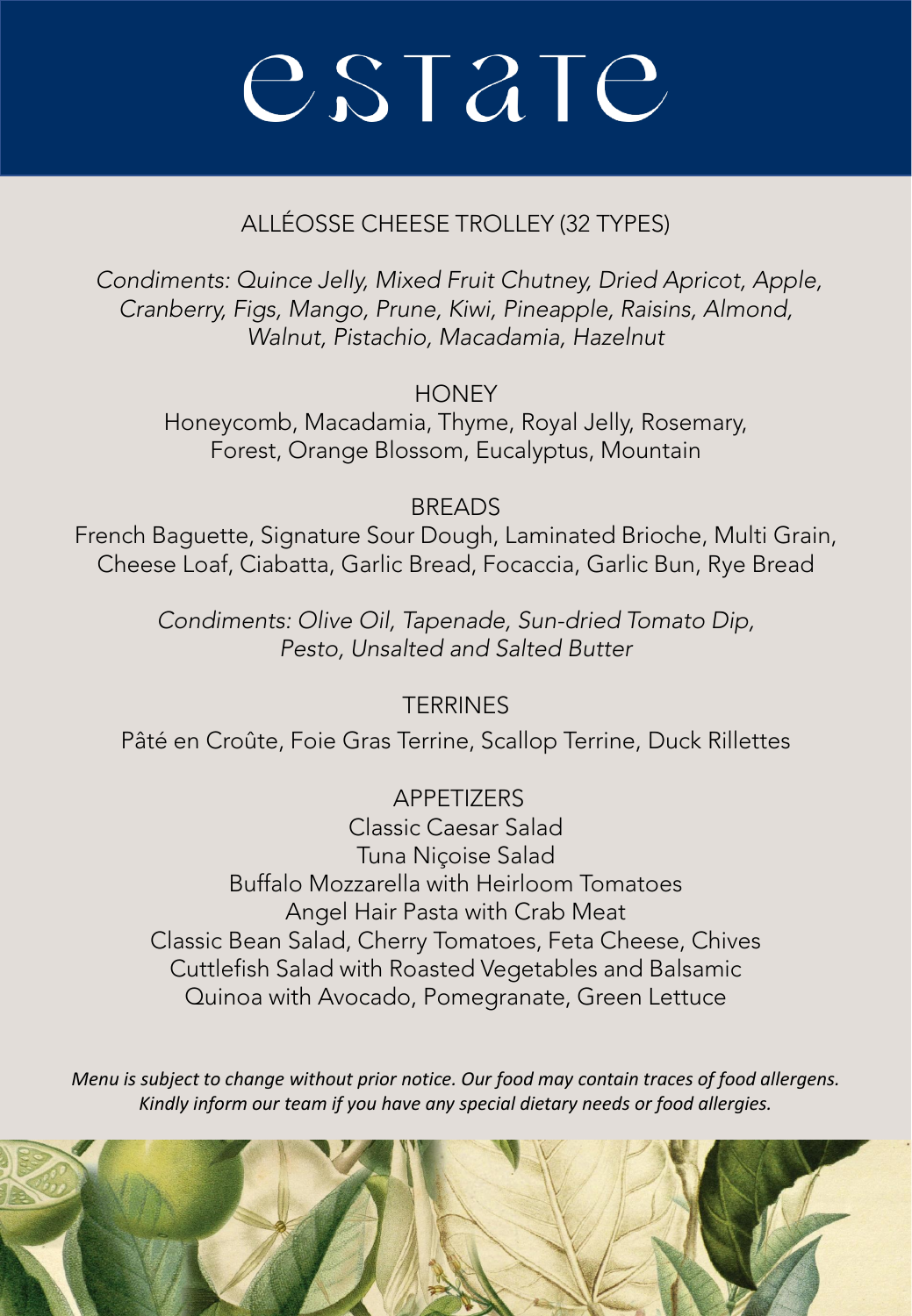### ALLÉOSSE CHEESE TROLLEY (32 TYPES)

*Condiments: Quince Jelly, Mixed Fruit Chutney, Dried Apricot, Apple, Cranberry, Figs, Mango, Prune, Kiwi, Pineapple, Raisins, Almond, Walnut, Pistachio, Macadamia, Hazelnut* 

**HONEY** 

Honeycomb, Macadamia, Thyme, Royal Jelly, Rosemary, Forest, Orange Blossom, Eucalyptus, Mountain

**BREADS** 

French Baguette, Signature Sour Dough, Laminated Brioche, Multi Grain, Cheese Loaf, Ciabatta, Garlic Bread, Focaccia, Garlic Bun, Rye Bread

> *Condiments: Olive Oil, Tapenade, Sun-dried Tomato Dip, Pesto, Unsalted and Salted Butter*

> > **TERRINES**

Pâté en Croûte, Foie Gras Terrine, Scallop Terrine, Duck Rillettes

**APPETIZERS** Classic Caesar Salad Tuna Niçoise Salad Buffalo Mozzarella with Heirloom Tomatoes Angel Hair Pasta with Crab Meat Classic Bean Salad, Cherry Tomatoes, Feta Cheese, Chives Cuttlefish Salad with Roasted Vegetables and Balsamic Quinoa with Avocado, Pomegranate, Green Lettuce

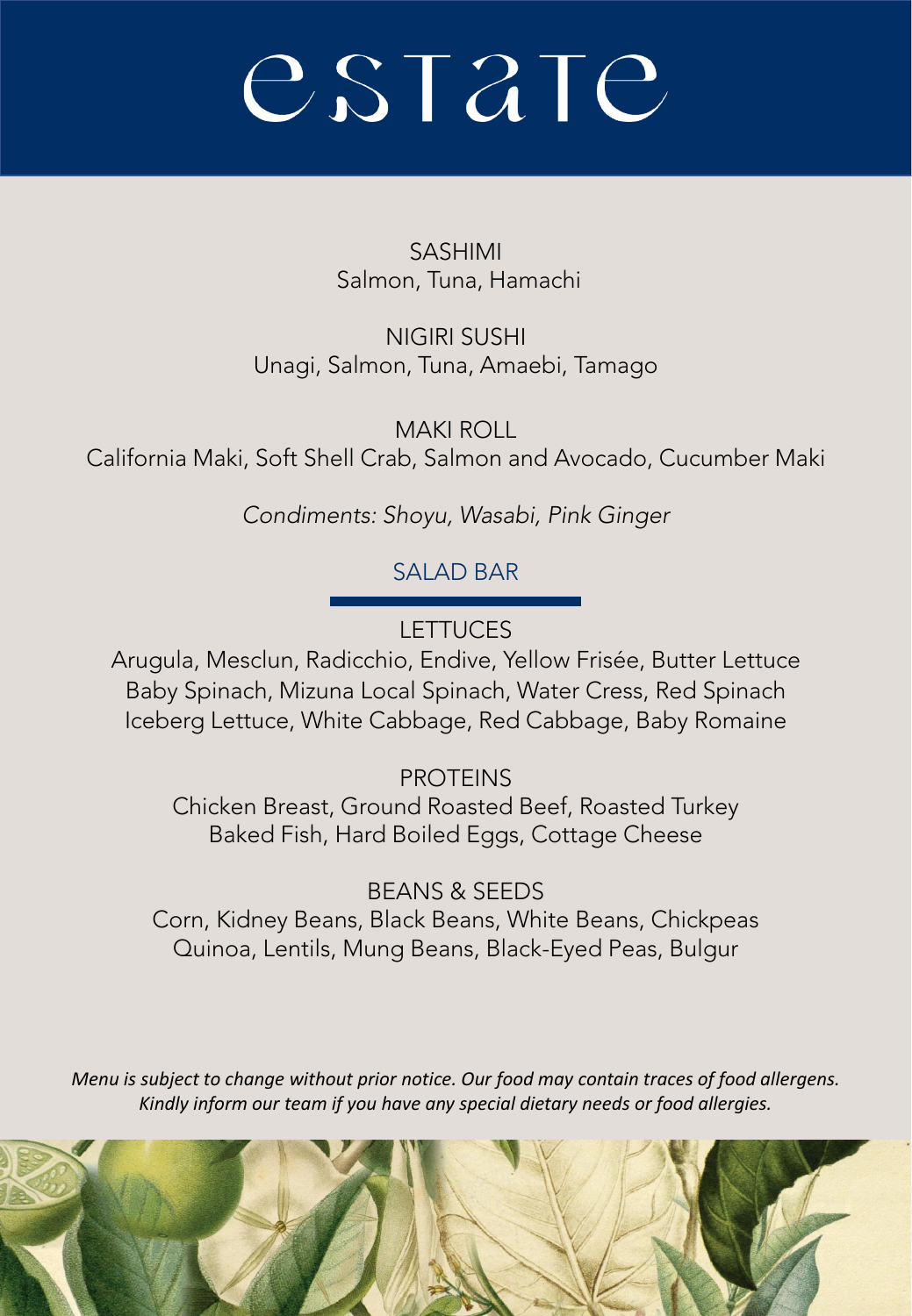SASHIMI Salmon, Tuna, Hamachi

NIGIRI SUSHI Unagi, Salmon, Tuna, Amaebi, Tamago

MAKI ROLL California Maki, Soft Shell Crab, Salmon and Avocado, Cucumber Maki

*Condiments: Shoyu, Wasabi, Pink Ginger* 

SALAD BAR

**LETTUCES** 

Arugula, Mesclun, Radicchio, Endive, Yellow Frisée, Butter Lettuce Baby Spinach, Mizuna Local Spinach, Water Cress, Red Spinach Iceberg Lettuce, White Cabbage, Red Cabbage, Baby Romaine

PROTEINS

Chicken Breast, Ground Roasted Beef, Roasted Turkey Baked Fish, Hard Boiled Eggs, Cottage Cheese

BEANS & SEEDS Corn, Kidney Beans, Black Beans, White Beans, Chickpeas Quinoa, Lentils, Mung Beans, Black-Eyed Peas, Bulgur

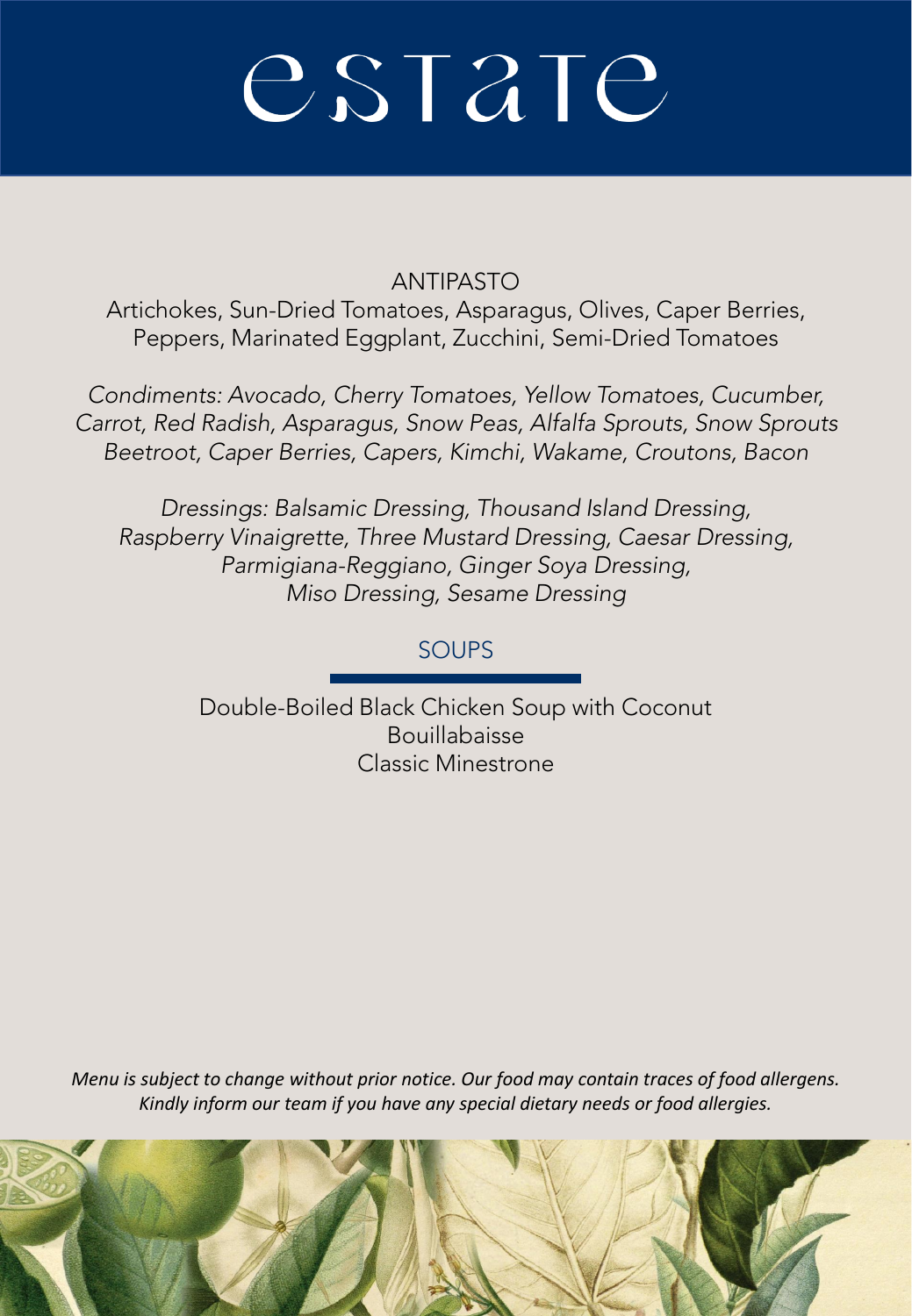#### ANTIPASTO

Artichokes, Sun-Dried Tomatoes, Asparagus, Olives, Caper Berries, Peppers, Marinated Eggplant, Zucchini, Semi-Dried Tomatoes

*Condiments: Avocado, Cherry Tomatoes, Yellow Tomatoes, Cucumber, Carrot, Red Radish, Asparagus, Snow Peas, Alfalfa Sprouts, Snow Sprouts Beetroot, Caper Berries, Capers, Kimchi, Wakame, Croutons, Bacon*

*Dressings: Balsamic Dressing, Thousand Island Dressing, Raspberry Vinaigrette, Three Mustard Dressing, Caesar Dressing, Parmigiana-Reggiano, Ginger Soya Dressing, Miso Dressing, Sesame Dressing*

### SOUPS

Double-Boiled Black Chicken Soup with Coconut Bouillabaisse Classic Minestrone

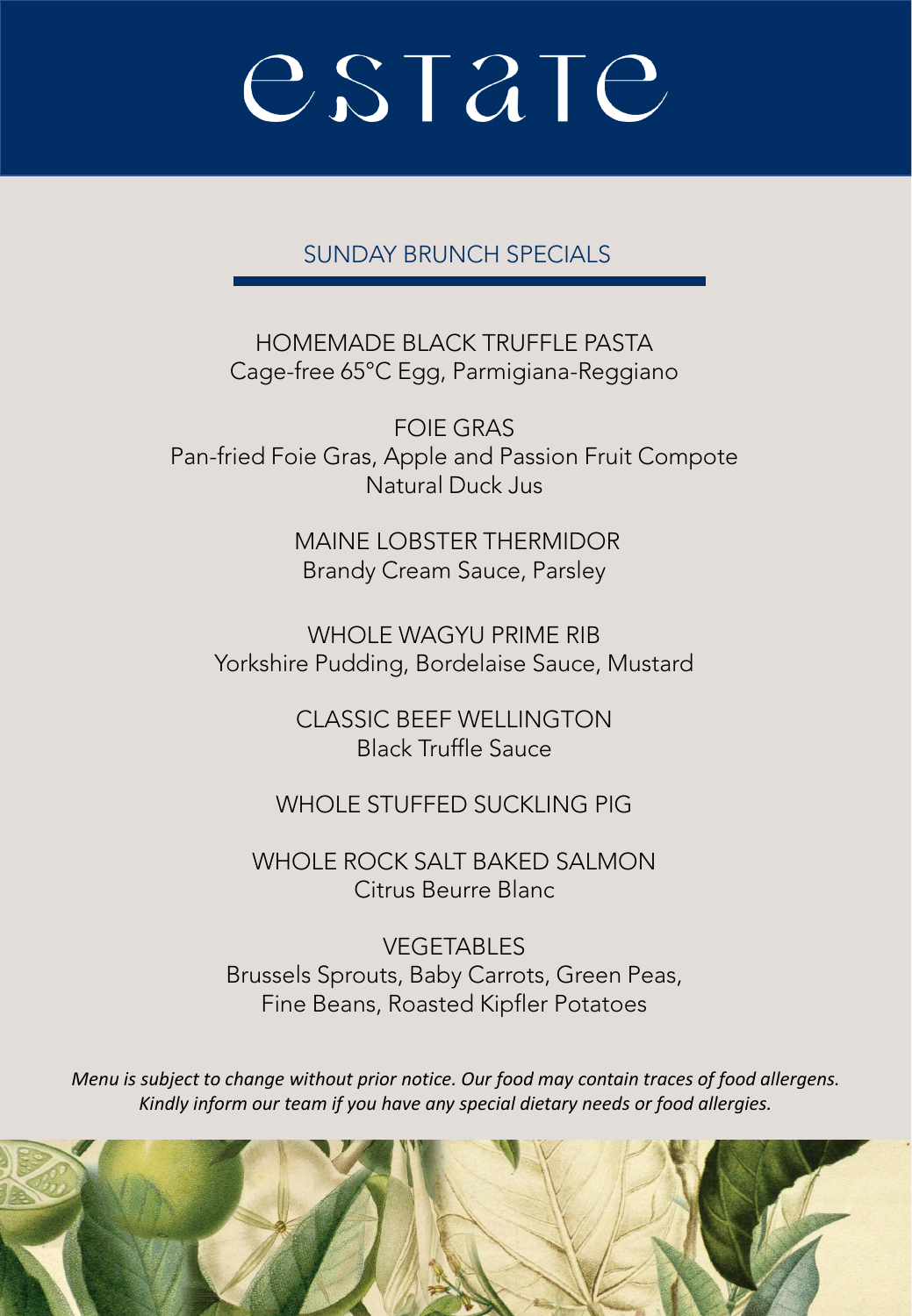SUNDAY BRUNCH SPECIALS

HOMEMADE BLACK TRUFFLE PASTA Cage-free 65°C Egg, Parmigiana-Reggiano

FOIE GRAS Pan-fried Foie Gras, Apple and Passion Fruit Compote Natural Duck Jus

> MAINE LOBSTER THERMIDOR Brandy Cream Sauce, Parsley

WHOLE WAGYU PRIME RIB Yorkshire Pudding, Bordelaise Sauce, Mustard

> CLASSIC BEEF WELLINGTON Black Truffle Sauce

WHOLE STUFFED SUCKLING PIG

WHOLE ROCK SALT BAKED SALMON Citrus Beurre Blanc

VEGETABLES Brussels Sprouts, Baby Carrots, Green Peas, Fine Beans, Roasted Kipfler Potatoes

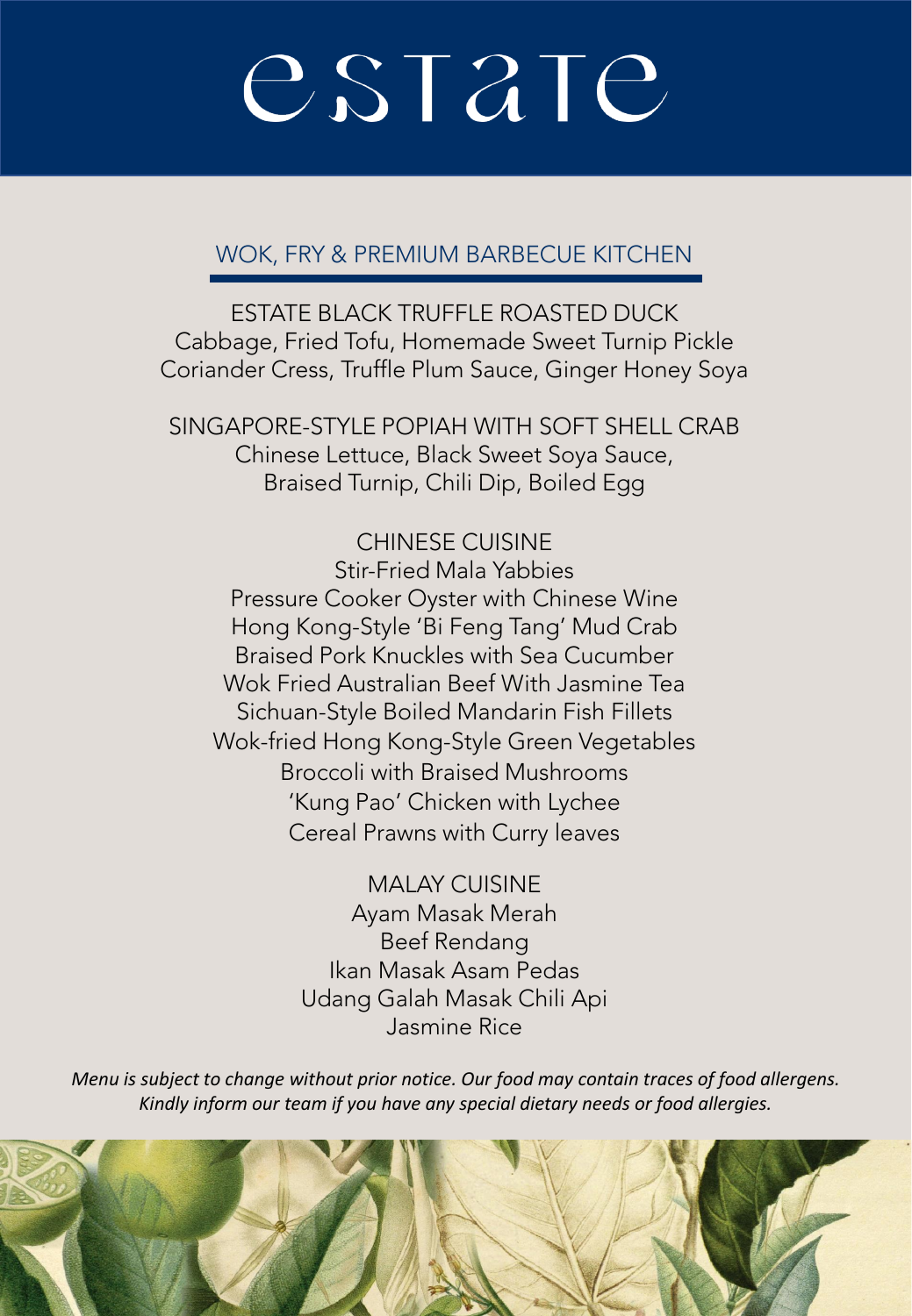#### WOK, FRY & PREMIUM BARBECUE KITCHEN

ESTATE BLACK TRUFFLE ROASTED DUCK Cabbage, Fried Tofu, Homemade Sweet Turnip Pickle Coriander Cress, Truffle Plum Sauce, Ginger Honey Soya

SINGAPORE-STYLE POPIAH WITH SOFT SHELL CRAB Chinese Lettuce, Black Sweet Soya Sauce, Braised Turnip, Chili Dip, Boiled Egg

CHINESE CUISINE Stir-Fried Mala Yabbies Pressure Cooker Oyster with Chinese Wine Hong Kong-Style 'Bi Feng Tang' Mud Crab Braised Pork Knuckles with Sea Cucumber Wok Fried Australian Beef With Jasmine Tea Sichuan-Style Boiled Mandarin Fish Fillets Wok-fried Hong Kong-Style Green Vegetables Broccoli with Braised Mushrooms 'Kung Pao' Chicken with Lychee Cereal Prawns with Curry leaves

> MALAY CUISINE Ayam Masak Merah Beef Rendang Ikan Masak Asam Pedas Udang Galah Masak Chili Api Jasmine Rice

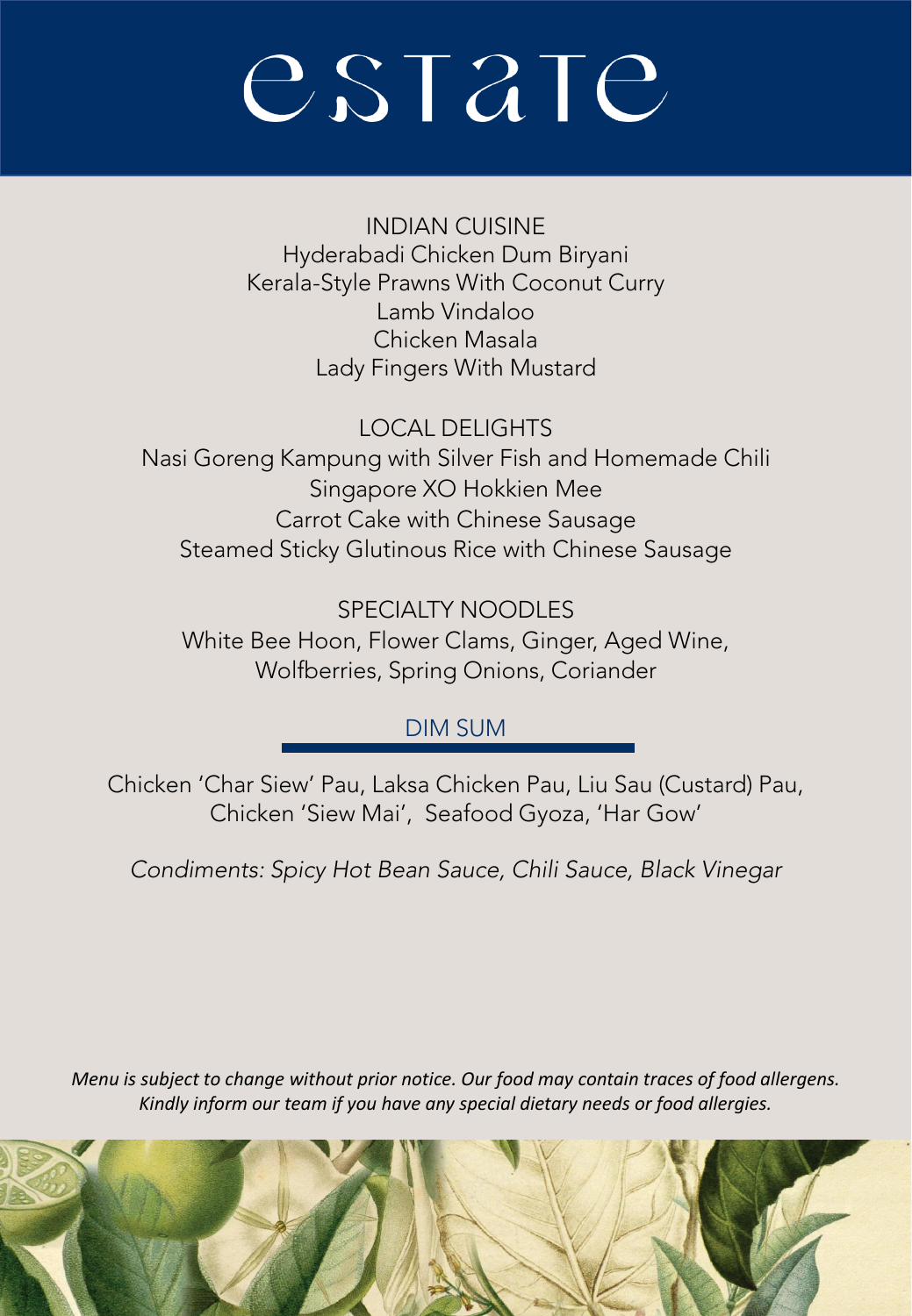INDIAN CUISINE Hyderabadi Chicken Dum Biryani Kerala-Style Prawns With Coconut Curry Lamb Vindaloo Chicken Masala Lady Fingers With Mustard

LOCAL DELIGHTS Nasi Goreng Kampung with Silver Fish and Homemade Chili Singapore XO Hokkien Mee Carrot Cake with Chinese Sausage Steamed Sticky Glutinous Rice with Chinese Sausage

SPECIALTY NOODLES White Bee Hoon, Flower Clams, Ginger, Aged Wine, Wolfberries, Spring Onions, Coriander

### DIM SUM

Chicken 'Char Siew' Pau, Laksa Chicken Pau, Liu Sau (Custard) Pau, Chicken 'Siew Mai', Seafood Gyoza, 'Har Gow'

*Condiments: Spicy Hot Bean Sauce, Chili Sauce, Black Vinegar*